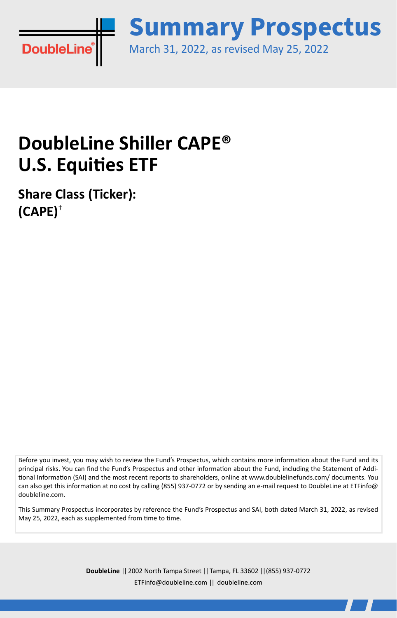

March 31, 2022, as revised May 25, 2022 **Summary Prospectus**

# **DoubleLine Shiller CAPE® U.S. Equities ETF**

**Share Class (Ticker): (CAPE)**†

Before you invest, you may wish to review the Fund's Prospectus, which contains more information about the Fund and its principal risks. You can find the Fund's Prospectus and other information about the Fund, including the Statement of Additional Information (SAI) and the most recent reports to shareholders, online at www.doublelinefunds.com/ documents. You can also get this information at no cost by calling (855) 937-0772 or by sending an e-mail request to DoubleLine at ETFinfo@ doubleline.com.

This Summary Prospectus incorporates by reference the Fund's Prospectus and SAI, both dated March 31, 2022, as revised May 25, 2022, each as supplemented from time to time.

> **DoubleLine** || 2002 North Tampa Street || Tampa, FL 33602 || (855) 937-0772 ETFinfo@doubleline.com || doubleline.com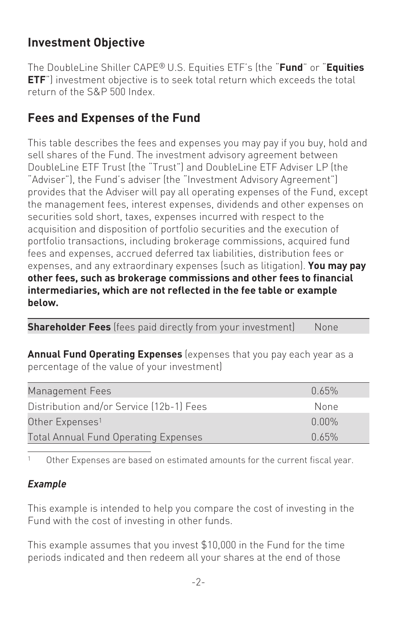## **Investment Objective**

The DoubleLine Shiller CAPE® U.S. Equities ETF's (the "**Fund**" or "**Equities ETF**") investment objective is to seek total return which exceeds the total return of the S&P 500 Index.

## **Fees and Expenses of the Fund**

This table describes the fees and expenses you may pay if you buy, hold and sell shares of the Fund. The investment advisory agreement between DoubleLine ETF Trust (the "Trust") and DoubleLine ETF Adviser LP (the "Adviser"), the Fund's adviser (the "Investment Advisory Agreement") provides that the Adviser will pay all operating expenses of the Fund, except the management fees, interest expenses, dividends and other expenses on securities sold short, taxes, expenses incurred with respect to the acquisition and disposition of portfolio securities and the execution of portfolio transactions, including brokerage commissions, acquired fund fees and expenses, accrued deferred tax liabilities, distribution fees or expenses, and any extraordinary expenses (such as litigation). **You may pay other fees, such as brokerage commissions and other fees to financial intermediaries, which are not reflected in the fee table or example below.**

**Shareholder Fees** (fees paid directly from your investment) None

**Annual Fund Operating Expenses** (expenses that you pay each year as a percentage of the value of your investment)

| በ 65%    |
|----------|
| None     |
| $0.00\%$ |
| በ 65%    |
|          |

1 Other Expenses are based on estimated amounts for the current fiscal year.

#### *Example*

This example is intended to help you compare the cost of investing in the Fund with the cost of investing in other funds.

This example assumes that you invest \$10,000 in the Fund for the time periods indicated and then redeem all your shares at the end of those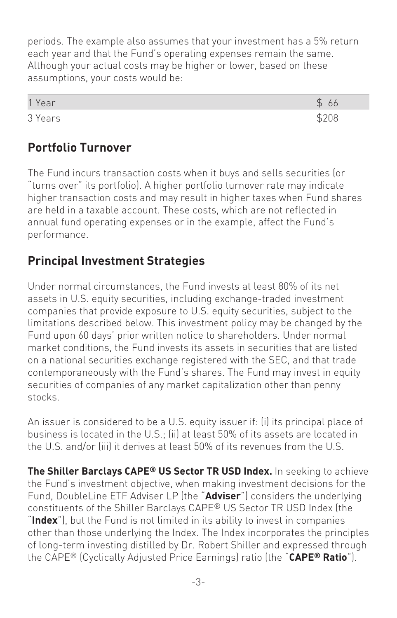periods. The example also assumes that your investment has a 5% return each year and that the Fund's operating expenses remain the same. Although your actual costs may be higher or lower, based on these assumptions, your costs would be:

| 1 Year  |  |
|---------|--|
| 3 Years |  |

#### **Portfolio Turnover**

The Fund incurs transaction costs when it buys and sells securities (or "turns over" its portfolio). A higher portfolio turnover rate may indicate higher transaction costs and may result in higher taxes when Fund shares are held in a taxable account. These costs, which are not reflected in annual fund operating expenses or in the example, affect the Fund's performance.

#### **Principal Investment Strategies**

Under normal circumstances, the Fund invests at least 80% of its net assets in U.S. equity securities, including exchange-traded investment companies that provide exposure to U.S. equity securities, subject to the limitations described below. This investment policy may be changed by the Fund upon 60 days' prior written notice to shareholders. Under normal market conditions, the Fund invests its assets in securities that are listed on a national securities exchange registered with the SEC, and that trade contemporaneously with the Fund's shares. The Fund may invest in equity securities of companies of any market capitalization other than penny stocks.

An issuer is considered to be a U.S. equity issuer if: (i) its principal place of business is located in the U.S.; (ii) at least 50% of its assets are located in the U.S. and/or (iii) it derives at least 50% of its revenues from the U.S.

**The Shiller Barclays CAPE® US Sector TR USD Index.** In seeking to achieve the Fund's investment objective, when making investment decisions for the Fund, DoubleLine ETF Adviser LP (the "**Adviser**") considers the underlying constituents of the Shiller Barclays CAPE® US Sector TR USD Index (the "**Index**"), but the Fund is not limited in its ability to invest in companies other than those underlying the Index. The Index incorporates the principles of long-term investing distilled by Dr. Robert Shiller and expressed through the CAPE® (Cyclically Adjusted Price Earnings) ratio (the "**CAPE® Ratio**").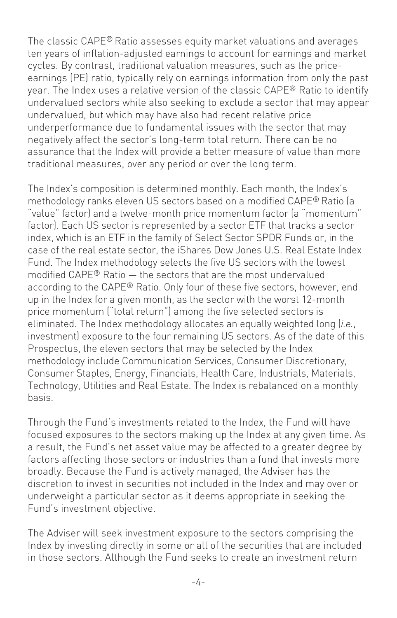The classic CAPE® Ratio assesses equity market valuations and averages ten years of inflation-adjusted earnings to account for earnings and market cycles. By contrast, traditional valuation measures, such as the priceearnings (PE) ratio, typically rely on earnings information from only the past year. The Index uses a relative version of the classic CAPE® Ratio to identify undervalued sectors while also seeking to exclude a sector that may appear undervalued, but which may have also had recent relative price underperformance due to fundamental issues with the sector that may negatively affect the sector's long-term total return. There can be no assurance that the Index will provide a better measure of value than more traditional measures, over any period or over the long term.

The Index's composition is determined monthly. Each month, the Index's methodology ranks eleven US sectors based on a modified CAPE® Ratio (a "value" factor) and a twelve-month price momentum factor (a "momentum" factor). Each US sector is represented by a sector ETF that tracks a sector index, which is an ETF in the family of Select Sector SPDR Funds or, in the case of the real estate sector, the iShares Dow Jones U.S. Real Estate Index Fund. The Index methodology selects the five US sectors with the lowest modified CAPE® Ratio — the sectors that are the most undervalued according to the CAPE® Ratio. Only four of these five sectors, however, end up in the Index for a given month, as the sector with the worst 12-month price momentum ("total return") among the five selected sectors is eliminated. The Index methodology allocates an equally weighted long (*i.e.*, investment) exposure to the four remaining US sectors. As of the date of this Prospectus, the eleven sectors that may be selected by the Index methodology include Communication Services, Consumer Discretionary, Consumer Staples, Energy, Financials, Health Care, Industrials, Materials, Technology, Utilities and Real Estate. The Index is rebalanced on a monthly basis.

Through the Fund's investments related to the Index, the Fund will have focused exposures to the sectors making up the Index at any given time. As a result, the Fund's net asset value may be affected to a greater degree by factors affecting those sectors or industries than a fund that invests more broadly. Because the Fund is actively managed, the Adviser has the discretion to invest in securities not included in the Index and may over or underweight a particular sector as it deems appropriate in seeking the Fund's investment objective.

The Adviser will seek investment exposure to the sectors comprising the Index by investing directly in some or all of the securities that are included in those sectors. Although the Fund seeks to create an investment return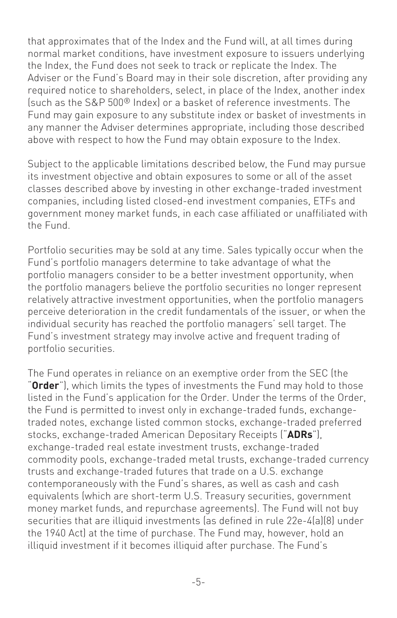that approximates that of the Index and the Fund will, at all times during normal market conditions, have investment exposure to issuers underlying the Index, the Fund does not seek to track or replicate the Index. The Adviser or the Fund's Board may in their sole discretion, after providing any required notice to shareholders, select, in place of the Index, another index (such as the S&P 500® Index) or a basket of reference investments. The Fund may gain exposure to any substitute index or basket of investments in any manner the Adviser determines appropriate, including those described above with respect to how the Fund may obtain exposure to the Index.

Subject to the applicable limitations described below, the Fund may pursue its investment objective and obtain exposures to some or all of the asset classes described above by investing in other exchange-traded investment companies, including listed closed-end investment companies, ETFs and government money market funds, in each case affiliated or unaffiliated with the Fund.

Portfolio securities may be sold at any time. Sales typically occur when the Fund's portfolio managers determine to take advantage of what the portfolio managers consider to be a better investment opportunity, when the portfolio managers believe the portfolio securities no longer represent relatively attractive investment opportunities, when the portfolio managers perceive deterioration in the credit fundamentals of the issuer, or when the individual security has reached the portfolio managers' sell target. The Fund's investment strategy may involve active and frequent trading of portfolio securities.

The Fund operates in reliance on an exemptive order from the SEC (the "**Order**"), which limits the types of investments the Fund may hold to those listed in the Fund's application for the Order. Under the terms of the Order, the Fund is permitted to invest only in exchange-traded funds, exchangetraded notes, exchange listed common stocks, exchange-traded preferred stocks, exchange-traded American Depositary Receipts ("**ADRs**"), exchange-traded real estate investment trusts, exchange-traded commodity pools, exchange-traded metal trusts, exchange-traded currency trusts and exchange-traded futures that trade on a U.S. exchange contemporaneously with the Fund's shares, as well as cash and cash equivalents (which are short-term U.S. Treasury securities, government money market funds, and repurchase agreements). The Fund will not buy securities that are illiquid investments (as defined in rule 22e-4(a)(8) under the 1940 Act) at the time of purchase. The Fund may, however, hold an illiquid investment if it becomes illiquid after purchase. The Fund's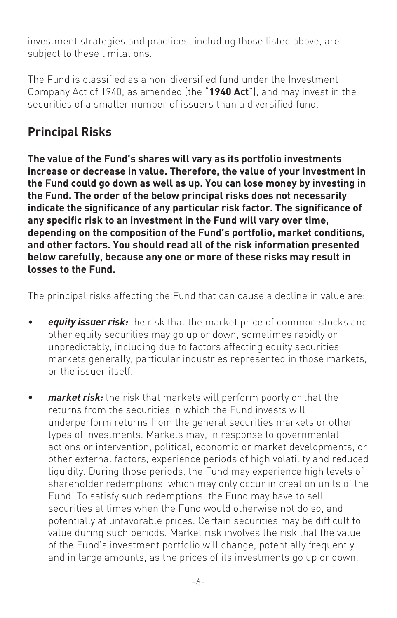investment strategies and practices, including those listed above, are subject to these limitations.

The Fund is classified as a non-diversified fund under the Investment Company Act of 1940, as amended (the "**1940 Act**"), and may invest in the securities of a smaller number of issuers than a diversified fund.

## **Principal Risks**

**The value of the Fund's shares will vary as its portfolio investments increase or decrease in value. Therefore, the value of your investment in the Fund could go down as well as up. You can lose money by investing in the Fund. The order of the below principal risks does not necessarily indicate the significance of any particular risk factor. The significance of any specific risk to an investment in the Fund will vary over time, depending on the composition of the Fund's portfolio, market conditions, and other factors. You should read all of the risk information presented below carefully, because any one or more of these risks may result in losses to the Fund.**

The principal risks affecting the Fund that can cause a decline in value are:

- *equity issuer risk:* the risk that the market price of common stocks and other equity securities may go up or down, sometimes rapidly or unpredictably, including due to factors affecting equity securities markets generally, particular industries represented in those markets, or the issuer itself.
- *market risk:* the risk that markets will perform poorly or that the returns from the securities in which the Fund invests will underperform returns from the general securities markets or other types of investments. Markets may, in response to governmental actions or intervention, political, economic or market developments, or other external factors, experience periods of high volatility and reduced liquidity. During those periods, the Fund may experience high levels of shareholder redemptions, which may only occur in creation units of the Fund. To satisfy such redemptions, the Fund may have to sell securities at times when the Fund would otherwise not do so, and potentially at unfavorable prices. Certain securities may be difficult to value during such periods. Market risk involves the risk that the value of the Fund's investment portfolio will change, potentially frequently and in large amounts, as the prices of its investments go up or down.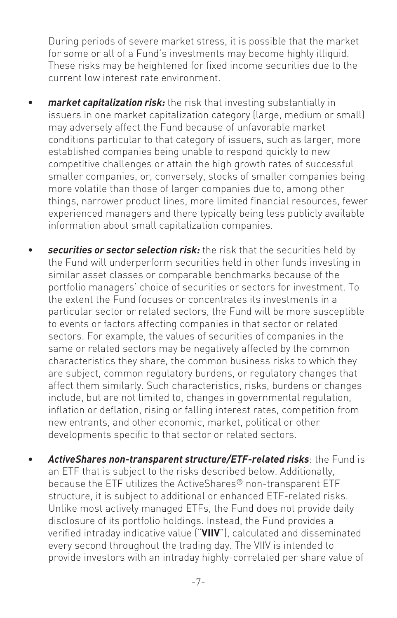During periods of severe market stress, it is possible that the market for some or all of a Fund's investments may become highly illiquid. These risks may be heightened for fixed income securities due to the current low interest rate environment.

- *market capitalization risk:* the risk that investing substantially in issuers in one market capitalization category (large, medium or small) may adversely affect the Fund because of unfavorable market conditions particular to that category of issuers, such as larger, more established companies being unable to respond quickly to new competitive challenges or attain the high growth rates of successful smaller companies, or, conversely, stocks of smaller companies being more volatile than those of larger companies due to, among other things, narrower product lines, more limited financial resources, fewer experienced managers and there typically being less publicly available information about small capitalization companies.
- *securities or sector selection risk:* the risk that the securities held by the Fund will underperform securities held in other funds investing in similar asset classes or comparable benchmarks because of the portfolio managers' choice of securities or sectors for investment. To the extent the Fund focuses or concentrates its investments in a particular sector or related sectors, the Fund will be more susceptible to events or factors affecting companies in that sector or related sectors. For example, the values of securities of companies in the same or related sectors may be negatively affected by the common characteristics they share, the common business risks to which they are subject, common regulatory burdens, or regulatory changes that affect them similarly. Such characteristics, risks, burdens or changes include, but are not limited to, changes in governmental regulation, inflation or deflation, rising or falling interest rates, competition from new entrants, and other economic, market, political or other developments specific to that sector or related sectors.
- *ActiveShares non-transparent structure/ETF-related risks*: the Fund is an ETF that is subject to the risks described below. Additionally, because the ETF utilizes the ActiveShares® non-transparent ETF structure, it is subject to additional or enhanced ETF-related risks. Unlike most actively managed ETFs, the Fund does not provide daily disclosure of its portfolio holdings. Instead, the Fund provides a verified intraday indicative value ("**VIIV**"), calculated and disseminated every second throughout the trading day. The VIIV is intended to provide investors with an intraday highly-correlated per share value of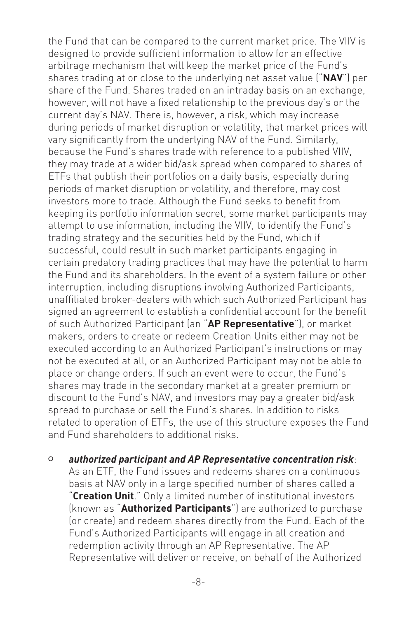the Fund that can be compared to the current market price. The VIIV is designed to provide sufficient information to allow for an effective arbitrage mechanism that will keep the market price of the Fund's shares trading at or close to the underlying net asset value ("**NAV**") per share of the Fund. Shares traded on an intraday basis on an exchange, however, will not have a fixed relationship to the previous day's or the current day's NAV. There is, however, a risk, which may increase during periods of market disruption or volatility, that market prices will vary significantly from the underlying NAV of the Fund. Similarly, because the Fund's shares trade with reference to a published VIIV, they may trade at a wider bid/ask spread when compared to shares of ETFs that publish their portfolios on a daily basis, especially during periods of market disruption or volatility, and therefore, may cost investors more to trade. Although the Fund seeks to benefit from keeping its portfolio information secret, some market participants may attempt to use information, including the VIIV, to identify the Fund's trading strategy and the securities held by the Fund, which if successful, could result in such market participants engaging in certain predatory trading practices that may have the potential to harm the Fund and its shareholders. In the event of a system failure or other interruption, including disruptions involving Authorized Participants, unaffiliated broker-dealers with which such Authorized Participant has signed an agreement to establish a confidential account for the benefit of such Authorized Participant (an "**AP Representative**"), or market makers, orders to create or redeem Creation Units either may not be executed according to an Authorized Participant's instructions or may not be executed at all, or an Authorized Participant may not be able to place or change orders. If such an event were to occur, the Fund's shares may trade in the secondary market at a greater premium or discount to the Fund's NAV, and investors may pay a greater bid/ask spread to purchase or sell the Fund's shares. In addition to risks related to operation of ETFs, the use of this structure exposes the Fund and Fund shareholders to additional risks.

<sup>O</sup> *authorized participant and AP Representative concentration risk*: As an ETF, the Fund issues and redeems shares on a continuous basis at NAV only in a large specified number of shares called a "**Creation Unit**." Only a limited number of institutional investors (known as "**Authorized Participants**") are authorized to purchase (or create) and redeem shares directly from the Fund. Each of the Fund's Authorized Participants will engage in all creation and redemption activity through an AP Representative. The AP Representative will deliver or receive, on behalf of the Authorized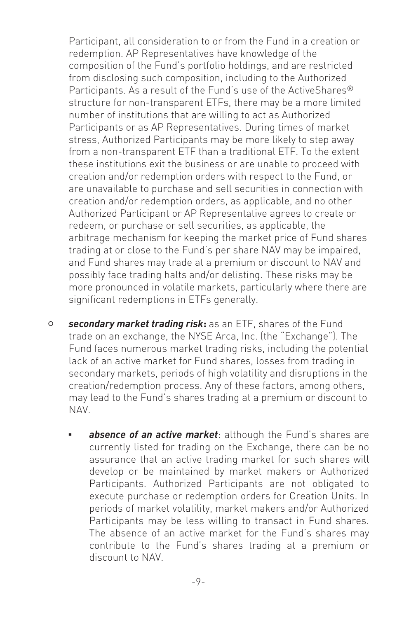Participant, all consideration to or from the Fund in a creation or redemption. AP Representatives have knowledge of the composition of the Fund's portfolio holdings, and are restricted from disclosing such composition, including to the Authorized Participants. As a result of the Fund's use of the ActiveShares<sup>®</sup> structure for non-transparent ETFs, there may be a more limited number of institutions that are willing to act as Authorized Participants or as AP Representatives. During times of market stress, Authorized Participants may be more likely to step away from a non-transparent ETF than a traditional ETF. To the extent these institutions exit the business or are unable to proceed with creation and/or redemption orders with respect to the Fund, or are unavailable to purchase and sell securities in connection with creation and/or redemption orders, as applicable, and no other Authorized Participant or AP Representative agrees to create or redeem, or purchase or sell securities, as applicable, the arbitrage mechanism for keeping the market price of Fund shares trading at or close to the Fund's per share NAV may be impaired, and Fund shares may trade at a premium or discount to NAV and possibly face trading halts and/or delisting. These risks may be more pronounced in volatile markets, particularly where there are significant redemptions in ETFs generally.

- <sup>O</sup> *secondary market trading risk***:** as an ETF, shares of the Fund trade on an exchange, the NYSE Arca, Inc. (the "Exchange"). The Fund faces numerous market trading risks, including the potential lack of an active market for Fund shares, losses from trading in secondary markets, periods of high volatility and disruptions in the creation/redemption process. Any of these factors, among others, may lead to the Fund's shares trading at a premium or discount to NAV.
	- absence of an active market: although the Fund's shares are currently listed for trading on the Exchange, there can be no assurance that an active trading market for such shares will develop or be maintained by market makers or Authorized Participants. Authorized Participants are not obligated to execute purchase or redemption orders for Creation Units. In periods of market volatility, market makers and/or Authorized Participants may be less willing to transact in Fund shares. The absence of an active market for the Fund's shares may contribute to the Fund's shares trading at a premium or discount to NAV.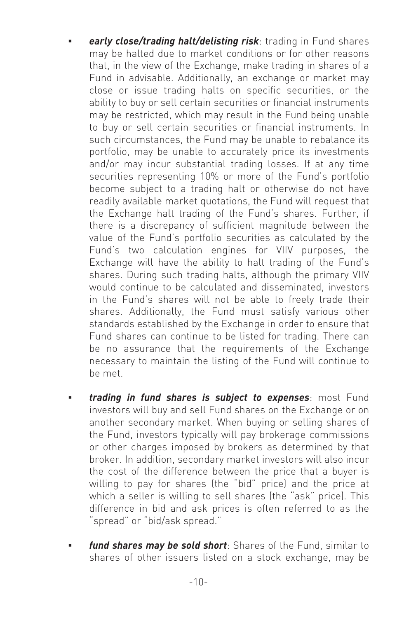- **early close/trading halt/delisting risk**: trading in Fund shares may be halted due to market conditions or for other reasons that, in the view of the Exchange, make trading in shares of a Fund in advisable. Additionally, an exchange or market may close or issue trading halts on specific securities, or the ability to buy or sell certain securities or financial instruments may be restricted, which may result in the Fund being unable to buy or sell certain securities or financial instruments. In such circumstances, the Fund may be unable to rebalance its portfolio, may be unable to accurately price its investments and/or may incur substantial trading losses. If at any time securities representing 10% or more of the Fund's portfolio become subject to a trading halt or otherwise do not have readily available market quotations, the Fund will request that the Exchange halt trading of the Fund's shares. Further, if there is a discrepancy of sufficient magnitude between the value of the Fund's portfolio securities as calculated by the Fund's two calculation engines for VIIV purposes, the Exchange will have the ability to halt trading of the Fund's shares. During such trading halts, although the primary VIIV would continue to be calculated and disseminated, investors in the Fund's shares will not be able to freely trade their shares. Additionally, the Fund must satisfy various other standards established by the Exchange in order to ensure that Fund shares can continue to be listed for trading. There can be no assurance that the requirements of the Exchange necessary to maintain the listing of the Fund will continue to be met.
- trading in fund shares is subject to expenses: most Fund investors will buy and sell Fund shares on the Exchange or on another secondary market. When buying or selling shares of the Fund, investors typically will pay brokerage commissions or other charges imposed by brokers as determined by that broker. In addition, secondary market investors will also incur the cost of the difference between the price that a buyer is willing to pay for shares (the "bid" price) and the price at which a seller is willing to sell shares (the "ask" price). This difference in bid and ask prices is often referred to as the "spread" or "bid/ask spread."
- fund shares may be sold short: Shares of the Fund, similar to shares of other issuers listed on a stock exchange, may be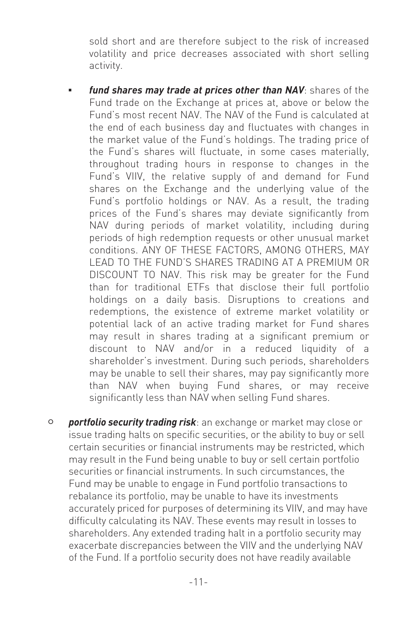sold short and are therefore subject to the risk of increased volatility and price decreases associated with short selling activity.

- fund shares may trade at prices other than NAV: shares of the Fund trade on the Exchange at prices at, above or below the Fund's most recent NAV. The NAV of the Fund is calculated at the end of each business day and fluctuates with changes in the market value of the Fund's holdings. The trading price of the Fund's shares will fluctuate, in some cases materially, throughout trading hours in response to changes in the Fund's VIIV, the relative supply of and demand for Fund shares on the Exchange and the underlying value of the Fund's portfolio holdings or NAV. As a result, the trading prices of the Fund's shares may deviate significantly from NAV during periods of market volatility, including during periods of high redemption requests or other unusual market conditions. ANY OF THESE FACTORS, AMONG OTHERS, MAY LEAD TO THE FUND'S SHARES TRADING AT A PREMIUM OR DISCOUNT TO NAV. This risk may be greater for the Fund than for traditional ETFs that disclose their full portfolio holdings on a daily basis. Disruptions to creations and redemptions, the existence of extreme market volatility or potential lack of an active trading market for Fund shares may result in shares trading at a significant premium or discount to NAV and/or in a reduced liquidity of a shareholder's investment. During such periods, shareholders may be unable to sell their shares, may pay significantly more than NAV when buying Fund shares, or may receive significantly less than NAV when selling Fund shares.
- <sup>O</sup> *portfolio security trading risk*: an exchange or market may close or issue trading halts on specific securities, or the ability to buy or sell certain securities or financial instruments may be restricted, which may result in the Fund being unable to buy or sell certain portfolio securities or financial instruments. In such circumstances, the Fund may be unable to engage in Fund portfolio transactions to rebalance its portfolio, may be unable to have its investments accurately priced for purposes of determining its VIIV, and may have difficulty calculating its NAV. These events may result in losses to shareholders. Any extended trading halt in a portfolio security may exacerbate discrepancies between the VIIV and the underlying NAV of the Fund. If a portfolio security does not have readily available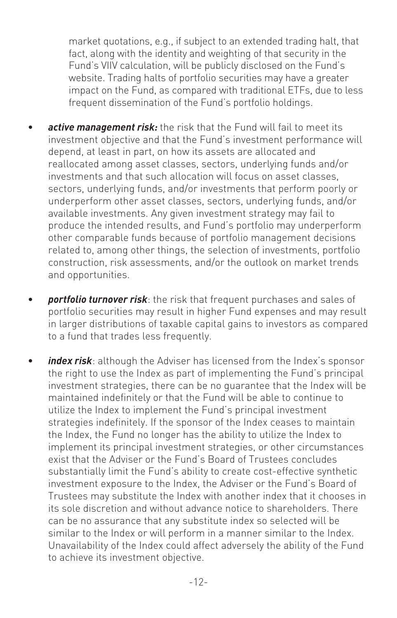market quotations, e.g., if subject to an extended trading halt, that fact, along with the identity and weighting of that security in the Fund's VIIV calculation, will be publicly disclosed on the Fund's website. Trading halts of portfolio securities may have a greater impact on the Fund, as compared with traditional ETFs, due to less frequent dissemination of the Fund's portfolio holdings.

- active management risk: the risk that the Fund will fail to meet its investment objective and that the Fund's investment performance will depend, at least in part, on how its assets are allocated and reallocated among asset classes, sectors, underlying funds and/or investments and that such allocation will focus on asset classes, sectors, underlying funds, and/or investments that perform poorly or underperform other asset classes, sectors, underlying funds, and/or available investments. Any given investment strategy may fail to produce the intended results, and Fund's portfolio may underperform other comparable funds because of portfolio management decisions related to, among other things, the selection of investments, portfolio construction, risk assessments, and/or the outlook on market trends and opportunities.
- *portfolio turnover risk*: the risk that frequent purchases and sales of portfolio securities may result in higher Fund expenses and may result in larger distributions of taxable capital gains to investors as compared to a fund that trades less frequently.
- *index risk*: although the Adviser has licensed from the Index's sponsor the right to use the Index as part of implementing the Fund's principal investment strategies, there can be no guarantee that the Index will be maintained indefinitely or that the Fund will be able to continue to utilize the Index to implement the Fund's principal investment strategies indefinitely. If the sponsor of the Index ceases to maintain the Index, the Fund no longer has the ability to utilize the Index to implement its principal investment strategies, or other circumstances exist that the Adviser or the Fund's Board of Trustees concludes substantially limit the Fund's ability to create cost-effective synthetic investment exposure to the Index, the Adviser or the Fund's Board of Trustees may substitute the Index with another index that it chooses in its sole discretion and without advance notice to shareholders. There can be no assurance that any substitute index so selected will be similar to the Index or will perform in a manner similar to the Index. Unavailability of the Index could affect adversely the ability of the Fund to achieve its investment objective.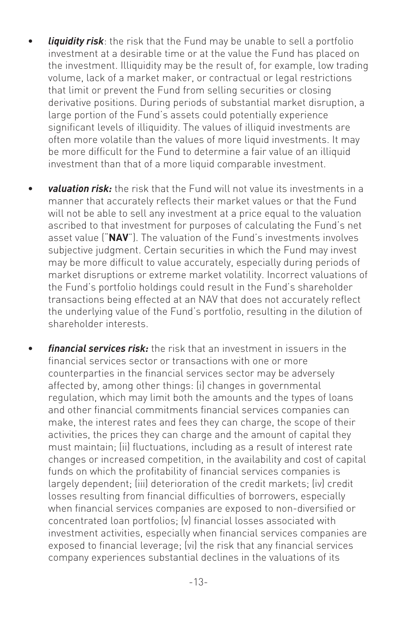- *liquidity risk*: the risk that the Fund may be unable to sell a portfolio investment at a desirable time or at the value the Fund has placed on the investment. Illiquidity may be the result of, for example, low trading volume, lack of a market maker, or contractual or legal restrictions that limit or prevent the Fund from selling securities or closing derivative positions. During periods of substantial market disruption, a large portion of the Fund's assets could potentially experience significant levels of illiquidity. The values of illiquid investments are often more volatile than the values of more liquid investments. It may be more difficult for the Fund to determine a fair value of an illiquid investment than that of a more liquid comparable investment.
- *valuation risk:* the risk that the Fund will not value its investments in a manner that accurately reflects their market values or that the Fund will not be able to sell any investment at a price equal to the valuation ascribed to that investment for purposes of calculating the Fund's net asset value ("**NAV**"). The valuation of the Fund's investments involves subjective judgment. Certain securities in which the Fund may invest may be more difficult to value accurately, especially during periods of market disruptions or extreme market volatility. Incorrect valuations of the Fund's portfolio holdings could result in the Fund's shareholder transactions being effected at an NAV that does not accurately reflect the underlying value of the Fund's portfolio, resulting in the dilution of shareholder interests.
- *financial services risk:* the risk that an investment in issuers in the financial services sector or transactions with one or more counterparties in the financial services sector may be adversely affected by, among other things: (i) changes in governmental regulation, which may limit both the amounts and the types of loans and other financial commitments financial services companies can make, the interest rates and fees they can charge, the scope of their activities, the prices they can charge and the amount of capital they must maintain; (ii) fluctuations, including as a result of interest rate changes or increased competition, in the availability and cost of capital funds on which the profitability of financial services companies is largely dependent; (iii) deterioration of the credit markets; (iv) credit losses resulting from financial difficulties of borrowers, especially when financial services companies are exposed to non-diversified or concentrated loan portfolios; (v) financial losses associated with investment activities, especially when financial services companies are exposed to financial leverage; (vi) the risk that any financial services company experiences substantial declines in the valuations of its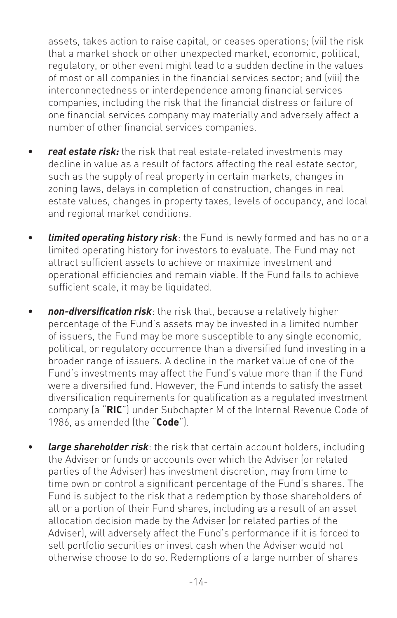assets, takes action to raise capital, or ceases operations; (vii) the risk that a market shock or other unexpected market, economic, political, regulatory, or other event might lead to a sudden decline in the values of most or all companies in the financial services sector; and (viii) the interconnectedness or interdependence among financial services companies, including the risk that the financial distress or failure of one financial services company may materially and adversely affect a number of other financial services companies.

- *real estate risk:* the risk that real estate-related investments may decline in value as a result of factors affecting the real estate sector, such as the supply of real property in certain markets, changes in zoning laws, delays in completion of construction, changes in real estate values, changes in property taxes, levels of occupancy, and local and regional market conditions.
- *limited operating history risk*: the Fund is newly formed and has no or a limited operating history for investors to evaluate. The Fund may not attract sufficient assets to achieve or maximize investment and operational efficiencies and remain viable. If the Fund fails to achieve sufficient scale, it may be liquidated.
- *non-diversification risk*: the risk that, because a relatively higher percentage of the Fund's assets may be invested in a limited number of issuers, the Fund may be more susceptible to any single economic, political, or regulatory occurrence than a diversified fund investing in a broader range of issuers. A decline in the market value of one of the Fund's investments may affect the Fund's value more than if the Fund were a diversified fund. However, the Fund intends to satisfy the asset diversification requirements for qualification as a regulated investment company (a "**RIC**") under Subchapter M of the Internal Revenue Code of 1986, as amended (the "**Code**").
- **large shareholder risk**: the risk that certain account holders, including the Adviser or funds or accounts over which the Adviser (or related parties of the Adviser) has investment discretion, may from time to time own or control a significant percentage of the Fund's shares. The Fund is subject to the risk that a redemption by those shareholders of all or a portion of their Fund shares, including as a result of an asset allocation decision made by the Adviser (or related parties of the Adviser), will adversely affect the Fund's performance if it is forced to sell portfolio securities or invest cash when the Adviser would not otherwise choose to do so. Redemptions of a large number of shares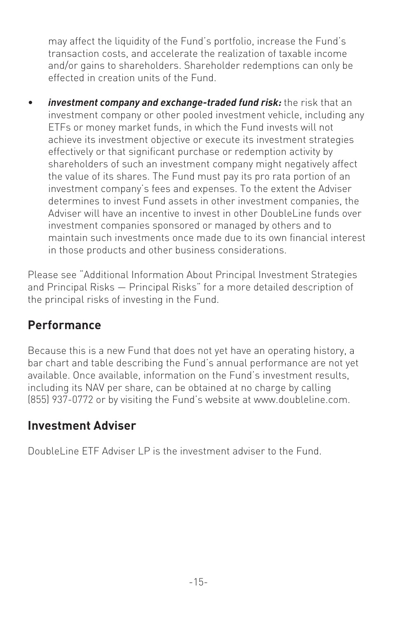may affect the liquidity of the Fund's portfolio, increase the Fund's transaction costs, and accelerate the realization of taxable income and/or gains to shareholders. Shareholder redemptions can only be effected in creation units of the Fund.

• *investment company and exchange-traded fund risk:* the risk that an investment company or other pooled investment vehicle, including any ETFs or money market funds, in which the Fund invests will not achieve its investment objective or execute its investment strategies effectively or that significant purchase or redemption activity by shareholders of such an investment company might negatively affect the value of its shares. The Fund must pay its pro rata portion of an investment company's fees and expenses. To the extent the Adviser determines to invest Fund assets in other investment companies, the Adviser will have an incentive to invest in other DoubleLine funds over investment companies sponsored or managed by others and to maintain such investments once made due to its own financial interest in those products and other business considerations.

Please see "Additional Information About Principal Investment Strategies and Principal Risks — Principal Risks" for a more detailed description of the principal risks of investing in the Fund.

#### **Performance**

Because this is a new Fund that does not yet have an operating history, a bar chart and table describing the Fund's annual performance are not yet available. Once available, information on the Fund's investment results, including its NAV per share, can be obtained at no charge by calling (855) 937-0772 or by visiting the Fund's website at www.doubleline.com.

#### **Investment Adviser**

DoubleLine ETF Adviser LP is the investment adviser to the Fund.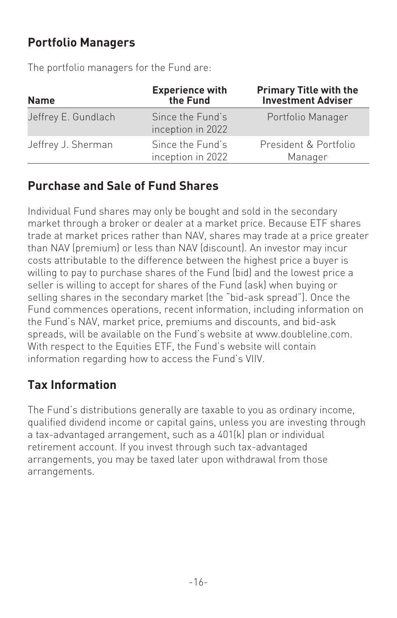## **Portfolio Managers**

The portfolio managers for the Fund are:

| <b>Name</b>         | <b>Experience with</b><br>the Fund    | <b>Primary Title with the</b><br><b>Investment Adviser</b> |
|---------------------|---------------------------------------|------------------------------------------------------------|
| Jeffrey E. Gundlach | Since the Fund's<br>inception in 2022 | Portfolio Manager                                          |
| Jeffrey J. Sherman  | Since the Fund's<br>inception in 2022 | President & Portfolio<br>Manager                           |

#### **Purchase and Sale of Fund Shares**

Individual Fund shares may only be bought and sold in the secondary market through a broker or dealer at a market price. Because ETF shares trade at market prices rather than NAV, shares may trade at a price greater than NAV (premium) or less than NAV (discount). An investor may incur costs attributable to the difference between the highest price a buyer is willing to pay to purchase shares of the Fund (bid) and the lowest price a seller is willing to accept for shares of the Fund (ask) when buying or selling shares in the secondary market (the "bid-ask spread"). Once the Fund commences operations, recent information, including information on the Fund's NAV, market price, premiums and discounts, and bid-ask spreads, will be available on the Fund's website at www.doubleline.com. With respect to the Equities ETF, the Fund's website will contain information regarding how to access the Fund's VIIV.

# **Tax Information**

The Fund's distributions generally are taxable to you as ordinary income, qualified dividend income or capital gains, unless you are investing through a tax-advantaged arrangement, such as a 401(k) plan or individual retirement account. If you invest through such tax-advantaged arrangements, you may be taxed later upon withdrawal from those arrangements.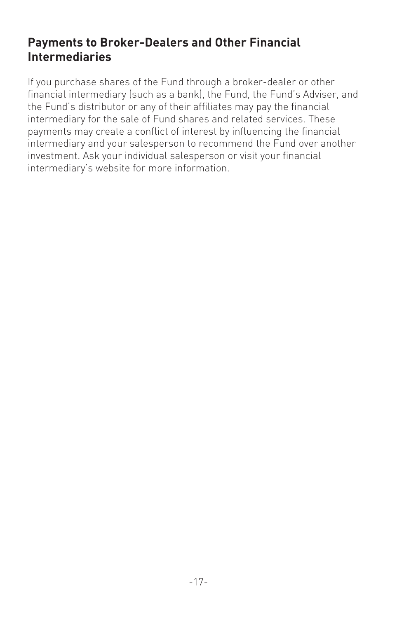#### **Payments to Broker-Dealers and Other Financial Intermediaries**

If you purchase shares of the Fund through a broker-dealer or other financial intermediary (such as a bank), the Fund, the Fund's Adviser, and the Fund's distributor or any of their affiliates may pay the financial intermediary for the sale of Fund shares and related services. These payments may create a conflict of interest by influencing the financial intermediary and your salesperson to recommend the Fund over another investment. Ask your individual salesperson or visit your financial intermediary's website for more information.